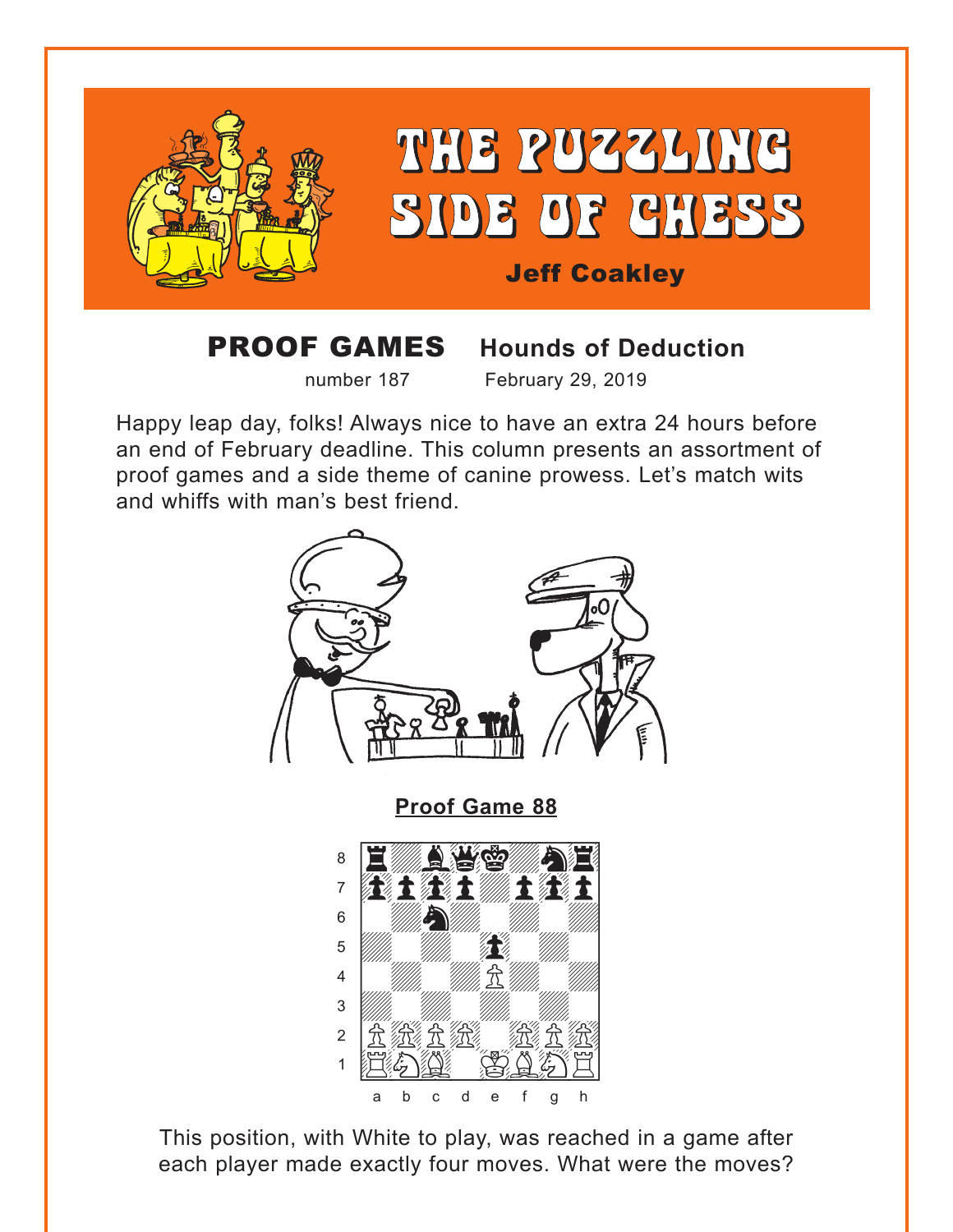<span id="page-0-0"></span>

## **PROOF GAMES**

# **Hounds of Deduction**

number 187

February 29, 2019

Happy leap day, folks! Always nice to have an extra 24 hours before an end of February deadline. This column presents an assortment of proof games and a side theme of canine prowess. Let's match wits and whiffs with man's best friend.



This position, with White to play, was reached in a game after each player made exactly four moves. What were the moves?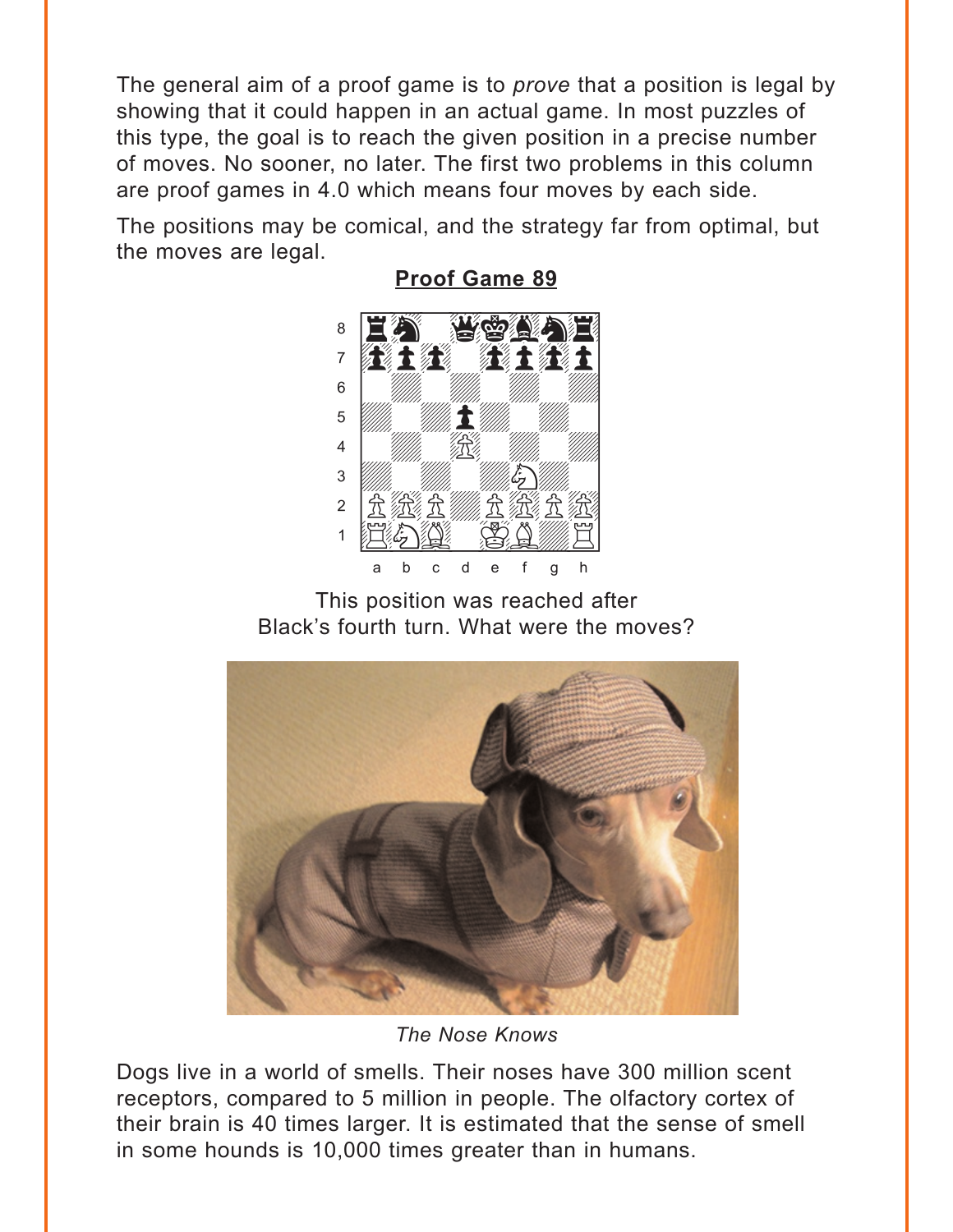<span id="page-1-0"></span>The general aim of a proof game is to *prove* that a position is legal by showing that it could happen in an actual game. In most puzzles of this type, the goal is to reach the given position in a precise number of moves. No sooner, no later. The first two problems in this column are proof games in 4.0 which means four moves by each side.

The positions may be comical, and the strategy far from optimal, but the moves are legal.



**Proof Game 89** 

This position was reached after Black's fourth turn. What were the moves?



The Nose Knows

Dogs live in a world of smells. Their noses have 300 million scent receptors, compared to 5 million in people. The olfactory cortex of their brain is 40 times larger. It is estimated that the sense of smell in some hounds is 10,000 times greater than in humans.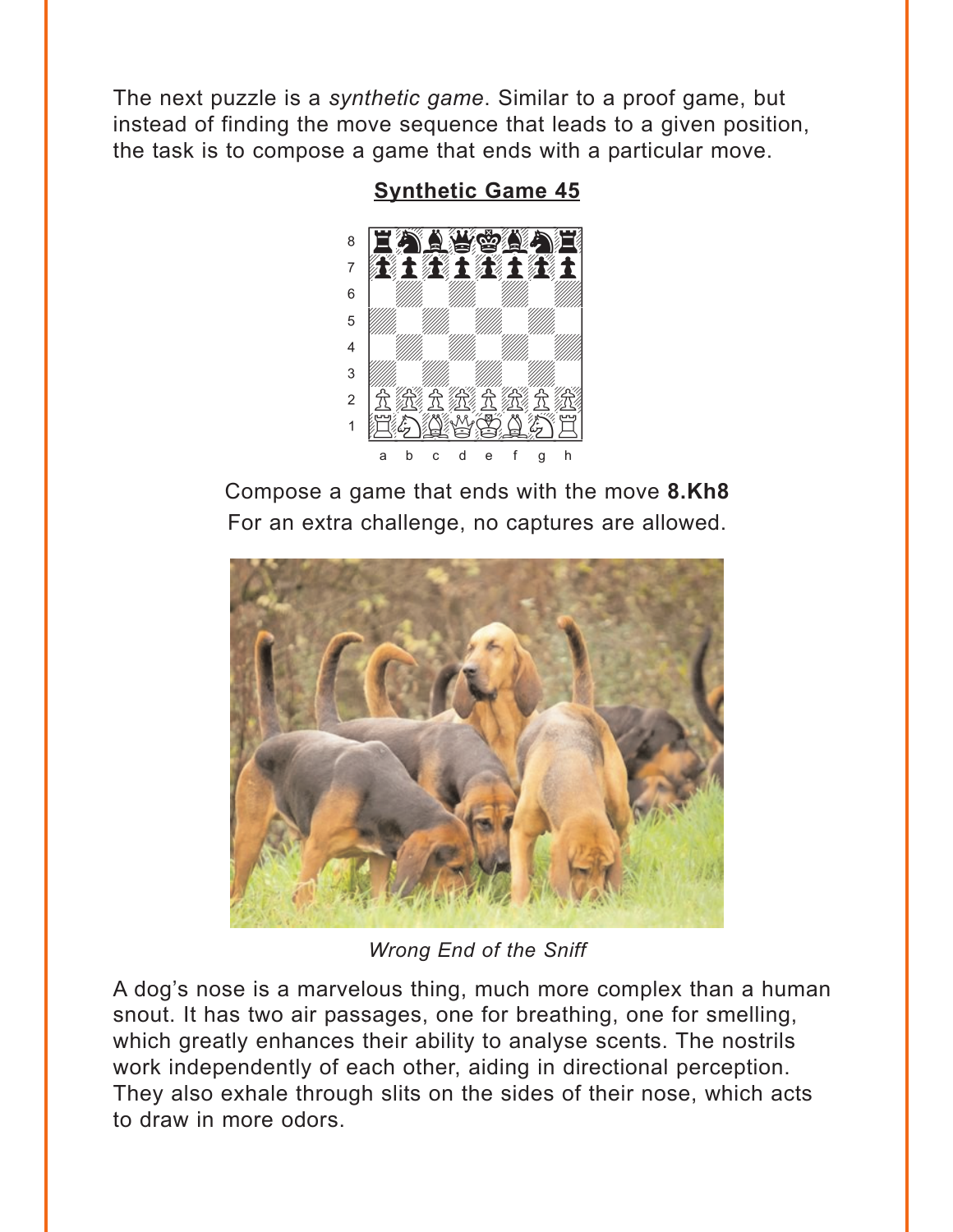<span id="page-2-0"></span>The next puzzle is a synthetic game. Similar to a proof game, but instead of finding the move sequence that leads to a given position, the task is to compose a game that ends with a particular move.

#### **Synthetic Game 45**



Compose a game that ends with the move 8.Kh8 For an extra challenge, no captures are allowed.



Wrong End of the Sniff

A dog's nose is a marvelous thing, much more complex than a human snout. It has two air passages, one for breathing, one for smelling, which greatly enhances their ability to analyse scents. The nostrils work independently of each other, aiding in directional perception. They also exhale through slits on the sides of their nose, which acts to draw in more odors.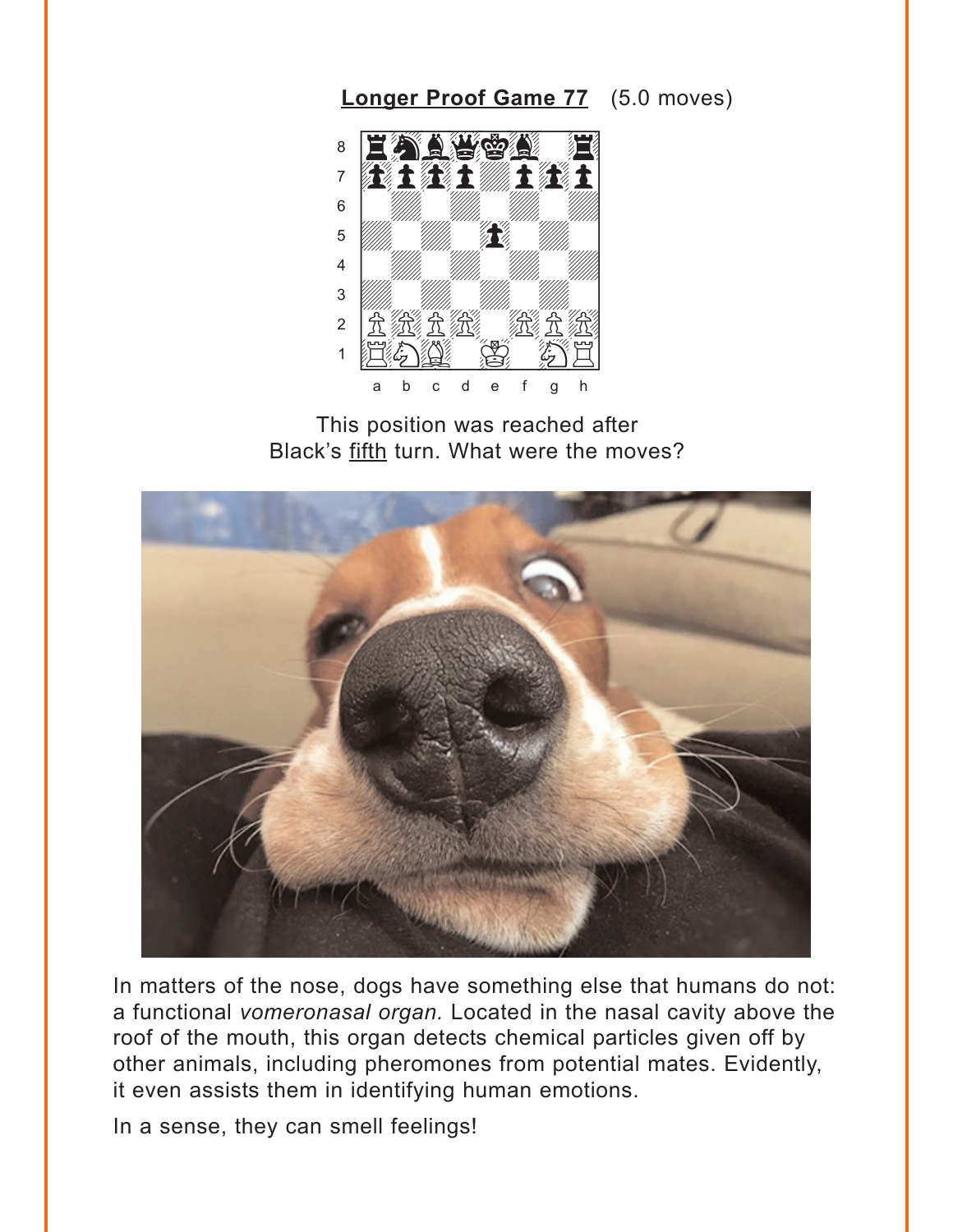## Longer Proof Game 77 (5.0 moves)

<span id="page-3-0"></span>

This position was reached after Black's fifth turn. What were the moves?



In matters of the nose, dogs have something else that humans do not: a functional vomeronasal organ. Located in the nasal cavity above the roof of the mouth, this organ detects chemical particles given off by other animals, including pheromones from potential mates. Evidently, it even assists them in identifying human emotions.

In a sense, they can smell feelings!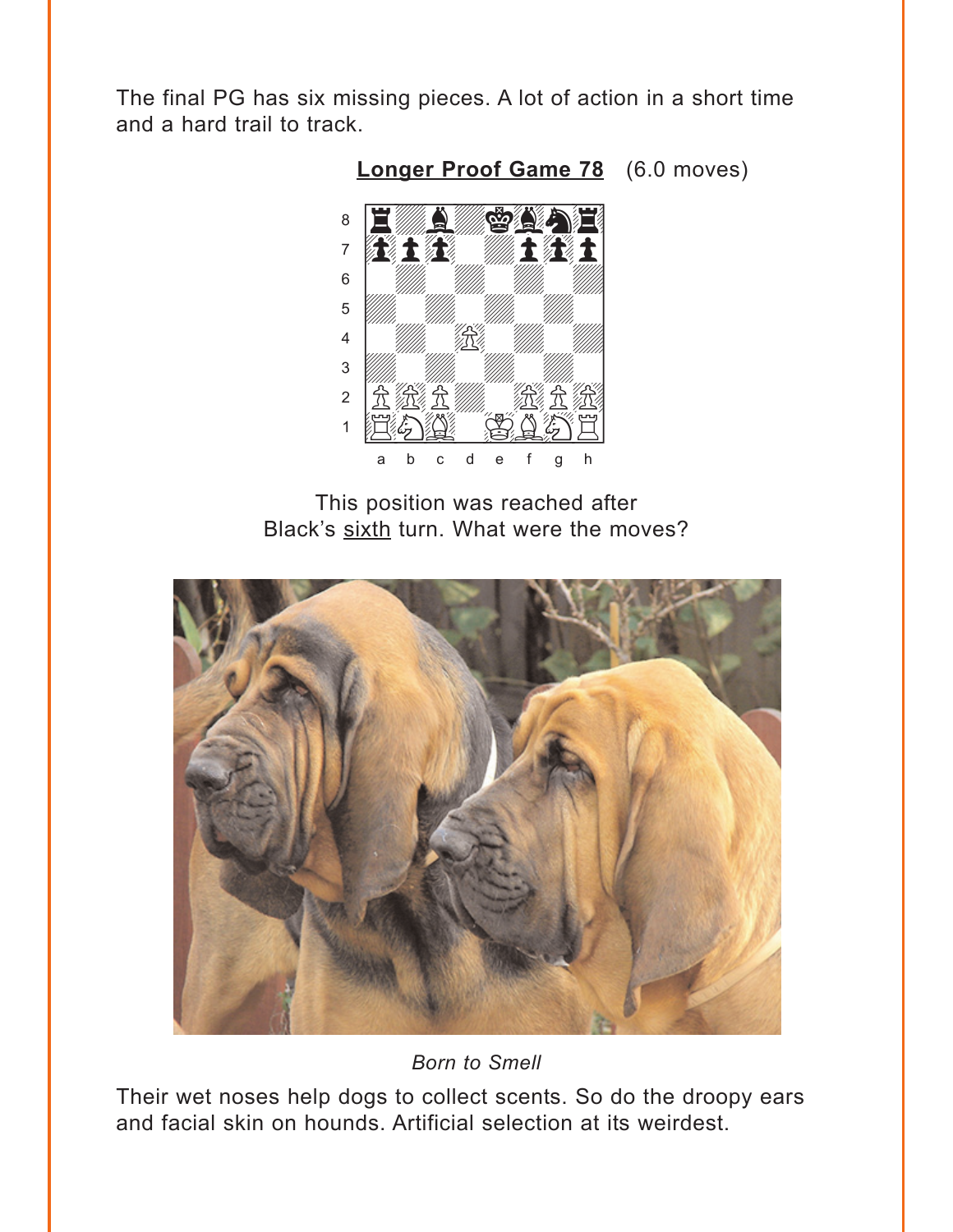<span id="page-4-0"></span>The final PG has six missing pieces. A lot of action in a short time and a hard trail to track.



**Longer Proof Game 78** (6.0 moves)

This position was reached after Black's sixth turn. What were the moves?



**Born to Smell** 

Their wet noses help dogs to collect scents. So do the droopy ears and facial skin on hounds. Artificial selection at its weirdest.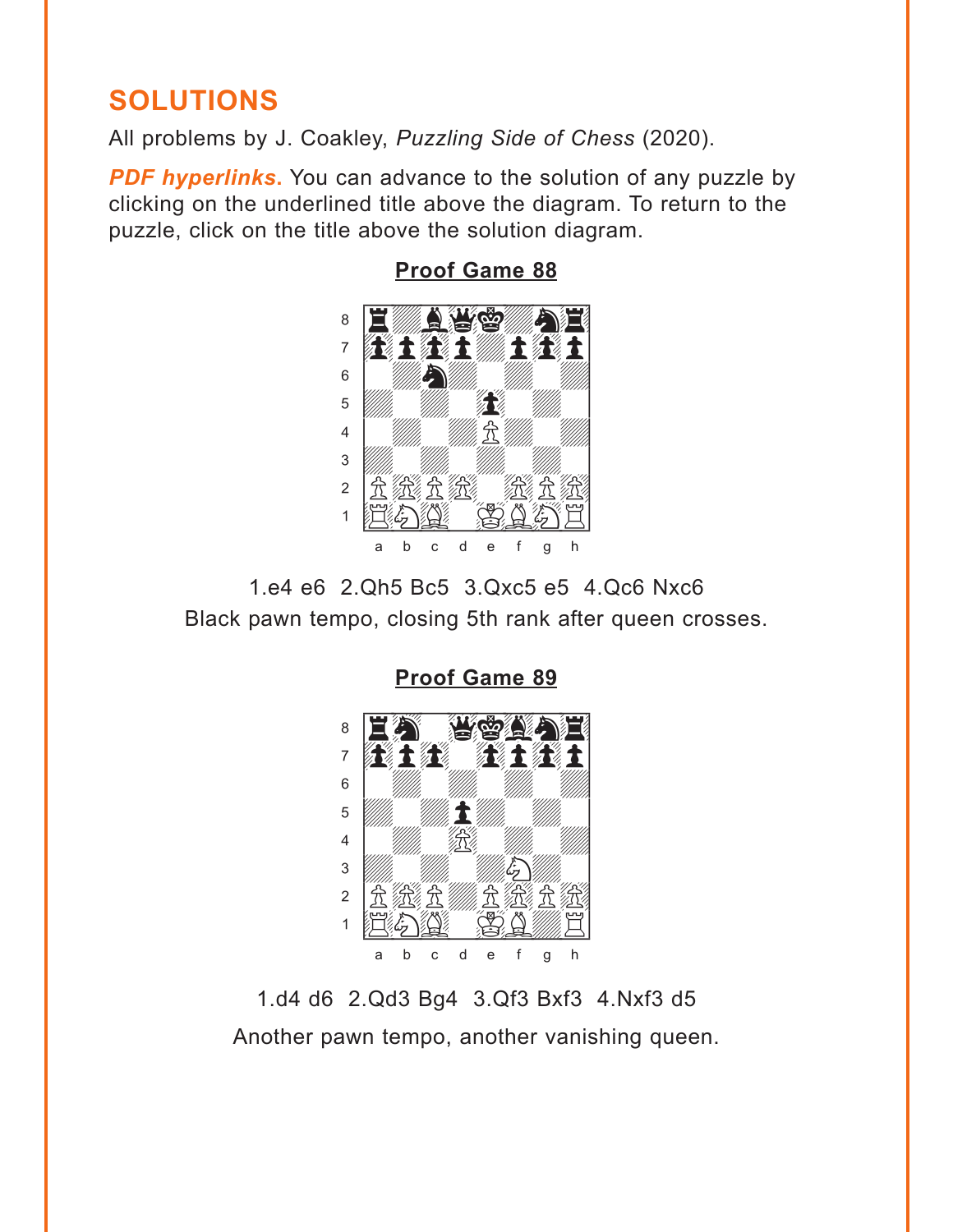# <span id="page-5-0"></span>**SOLUTIONS**

All problems by J. Coakley, *Puzzling Side of Chess* (2020).

**PDF hyperlinks.** You can advance to the solution of any puzzle by clicking on the underlined title above the diagram. To return to the puzzle, click on the title above the solution diagram.



#### **[Proof Game 88](#page-0-0)**

1.e4 e6 2.Qh5 Bc5 3.Qxc5 e5 4.Qc6 Nxc6 Black pawn tempo, closing 5th rank after queen crosses.

> **[Proof Game 89](#page-1-0)** where  $\frac{1}{2}$  is the set of  $\frac{1}{2}$  in the set of  $\frac{1}{2}$



1.d4 d6 2.Qd3 Bg4 3.Qf3 Bxf3 4.Nxf3 d5 Another pawn tempo, another vanishing queen.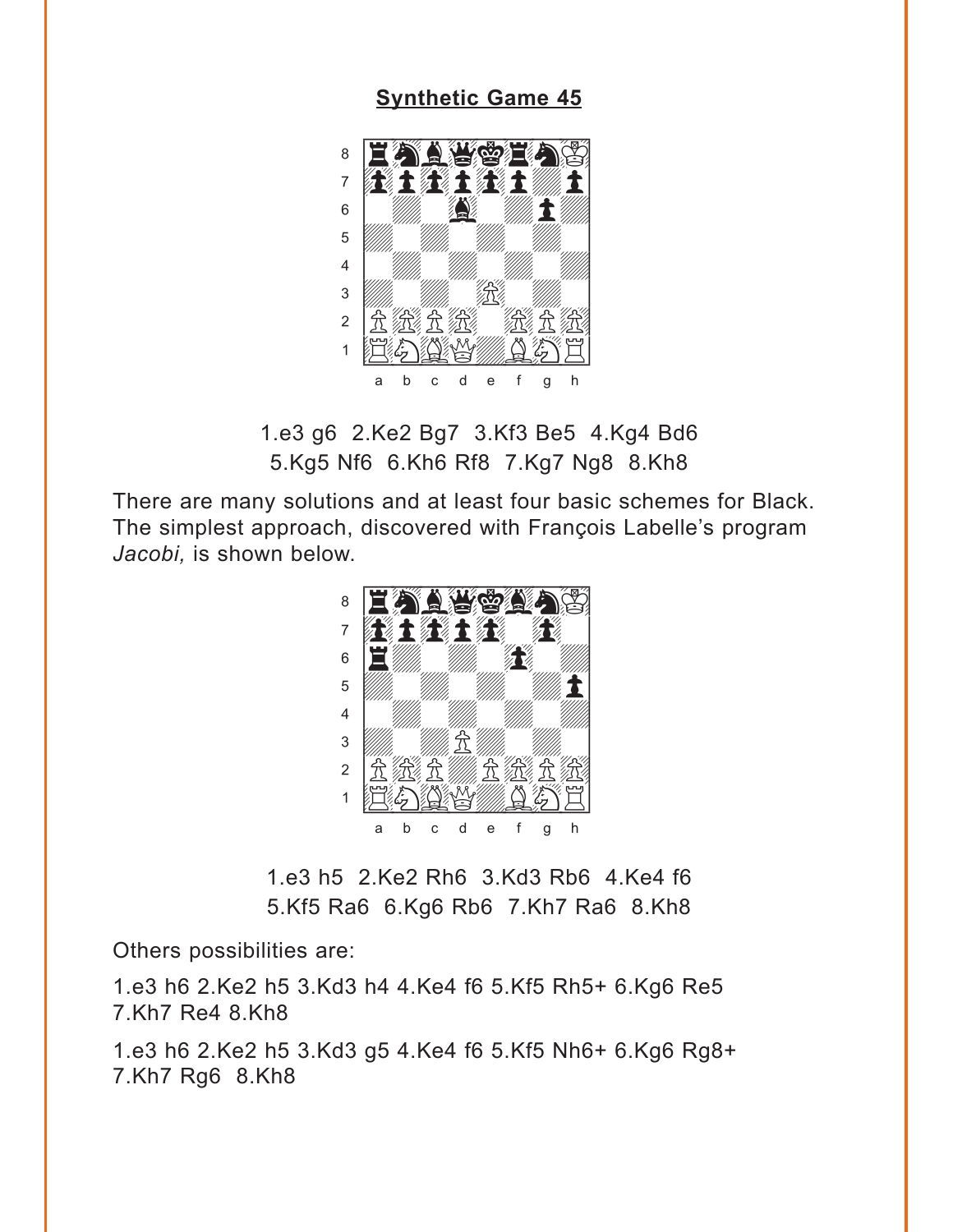#### **[Synthetic Game 45](#page-2-0)**

<span id="page-6-0"></span>

1.e3 g6 2.Ke2 Bg7 3.Kf3 Be5 4.Kg4 Bd6 5.Kg5 Nf6 6.Kh6 Rf8 7.Kg7 Ng8 8.Kh8

There are many solutions and at least four basic schemes for Black. The simplest approach, discovered with François Labelle's program *Jacobi,* is shown below.



1.e3 h5 2.Ke2 Rh6 3.Kd3 Rb6 4.Ke4 f6 5.Kf5 Ra6 6.Kg6 Rb6 7.Kh7 Ra6 8.Kh8

Others possibilities are:

1.e3 h6 2.Ke2 h5 3.Kd3 h4 4.Ke4 f6 5.Kf5 Rh5+ 6.Kg6 Re5 7.Kh7 Re4 8.Kh8

1.e3 h6 2.Ke2 h5 3.Kd3 g5 4.Ke4 f6 5.Kf5 Nh6+ 6.Kg6 Rg8+ 7.Kh7 Rg6 8.Kh8